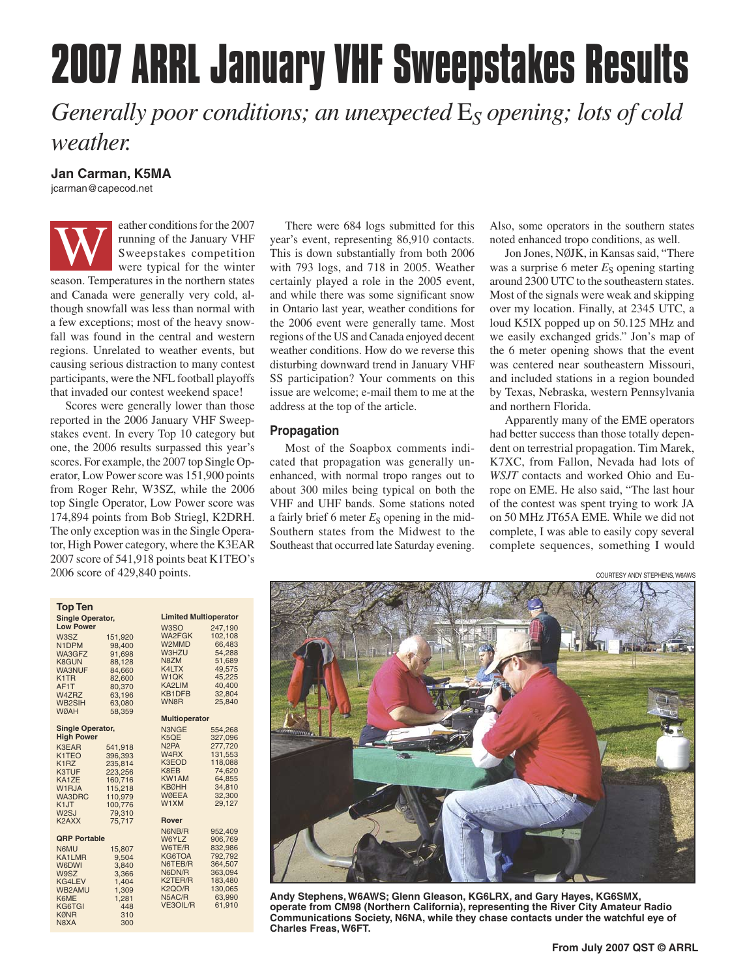# **2007 ARRL January VHF Sweepstakes Results** *Generally poor conditions; an unexpected* E*S opening; lots of cold*

## *weather.*

## **Jan Carman, K5MA**

jcarman@capecod.net

W eather conditions for the 2007 running of the January VHF Sweepstakes competition were typical for the winter season. Temperatures in the northern states and Canada were generally very cold, although snowfall was less than normal with a few exceptions; most of the heavy snowfall was found in the central and western regions. Unrelated to weather events, but causing serious distraction to many contest participants, were the NFL football playoffs that invaded our contest weekend space!

Scores were generally lower than those reported in the 2006 January VHF Sweepstakes event. In every Top 10 category but one, the 2006 results surpassed this year's scores. For example, the 2007 top Single Operator, Low Power score was 151,900 points from Roger Rehr, W3SZ, while the 2006 top Single Operator, Low Power score was 174,894 points from Bob Striegl, K2DRH. The only exception was in the Single Operator, High Power category, where the K3EAR 2007 score of 541,918 points beat K1TEO's 2006 score of 429,840 points.

There were 684 logs submitted for this year's event, representing 86,910 contacts. This is down substantially from both 2006 with 793 logs, and 718 in 2005. Weather certainly played a role in the 2005 event, and while there was some significant snow in Ontario last year, weather conditions for the 2006 event were generally tame. Most regions of the US and Canada enjoyed decent weather conditions. How do we reverse this disturbing downward trend in January VHF SS participation? Your comments on this issue are welcome; e-mail them to me at the address at the top of the article.

## **Propagation**

Most of the Soapbox comments indicated that propagation was generally unenhanced, with normal tropo ranges out to about 300 miles being typical on both the VHF and UHF bands. Some stations noted a fairly brief 6 meter  $E<sub>S</sub>$  opening in the mid-Southern states from the Midwest to the Southeast that occurred late Saturday evening.

Also, some operators in the southern states noted enhanced tropo conditions, as well.

Jon Jones, NØJK, in Kansas said, "There was a surprise 6 meter  $E<sub>S</sub>$  opening starting around 2300 UTC to the southeastern states. Most of the signals were weak and skipping over my location. Finally, at 2345 UTC, a loud K5IX popped up on 50.125 MHz and we easily exchanged grids." Jon's map of the 6 meter opening shows that the event was centered near southeastern Missouri, and included stations in a region bounded by Texas, Nebraska, western Pennsylvania and northern Florida.

Apparently many of the EME operators had better success than those totally dependent on terrestrial propagation. Tim Marek, K7XC, from Fallon, Nevada had lots of *WSJT* contacts and worked Ohio and Europe on EME. He also said, "The last hour of the contest was spent trying to work JA on 50 MHz JT65A EME. While we did not complete, I was able to easily copy several complete sequences, something I would

COURTESY ANDY STEPHENS, W6AWS

| <b>Top Ten</b>                               |                    |                                        |                              |  |  |  |  |  |
|----------------------------------------------|--------------------|----------------------------------------|------------------------------|--|--|--|--|--|
| <b>Single Operator,</b>                      |                    |                                        | <b>Limited Multioperator</b> |  |  |  |  |  |
| <b>Low Power</b>                             |                    | W <sub>3</sub> SO                      | 247,190                      |  |  |  |  |  |
| W3SZ                                         | 151.920            | <b>WA2FGK</b>                          | 102,108                      |  |  |  |  |  |
| N <sub>1</sub> DPM                           | 98.400             | W2MMD                                  | 66.483                       |  |  |  |  |  |
| WA3GFZ                                       | 91.698             | <b>W3HZU</b>                           | 54.288                       |  |  |  |  |  |
| K8GUN                                        | 88,128             | N8ZM                                   | 51,689                       |  |  |  |  |  |
| <b>WA3NUF</b>                                | 84,660             | K4LTX                                  | 49,575                       |  |  |  |  |  |
| K <sub>1</sub> TR                            | 82,600             | W <sub>1</sub> QK                      | 45,225                       |  |  |  |  |  |
| AF <sub>1</sub> T                            | 80.370             | KA2LIM                                 | 40.400                       |  |  |  |  |  |
| W4ZRZ                                        | 63,196             | KB1DFB                                 | 32.804                       |  |  |  |  |  |
| WB2SIH                                       | 63.080             | WN8R                                   | 25.840                       |  |  |  |  |  |
| <b>WØAH</b>                                  | 58,359             |                                        |                              |  |  |  |  |  |
|                                              |                    |                                        | <b>Multioperator</b>         |  |  |  |  |  |
| <b>Single Operator,</b><br><b>High Power</b> |                    | N3NGE                                  | 554,268                      |  |  |  |  |  |
|                                              |                    | K5QE                                   | 327,096                      |  |  |  |  |  |
| K3EAR                                        | 541.918            | N <sub>2</sub> PA<br>W <sub>4</sub> RX | 277,720                      |  |  |  |  |  |
| K <sub>1</sub> T <sub>EO</sub>               | 396,393            | K3EOD                                  | 131,553<br>118.088           |  |  |  |  |  |
| K <sub>1</sub> R <sub>Z</sub>                | 235.814            | K8EB                                   | 74,620                       |  |  |  |  |  |
| <b>K3TUF</b><br>KA1ZE                        | 223,256            | <b>KW1AM</b>                           | 64.855                       |  |  |  |  |  |
| W <sub>1</sub> RJA                           | 160,716<br>115,218 | <b>KBØHH</b>                           | 34.810                       |  |  |  |  |  |
| <b>WA3DRC</b>                                | 110,979            | <b>WØEEA</b>                           | 32,300                       |  |  |  |  |  |
| K <sub>1</sub> JT                            | 100,776            | W1XM                                   | 29.127                       |  |  |  |  |  |
| W <sub>2</sub> SJ                            | 79.310             |                                        |                              |  |  |  |  |  |
| K <sub>2</sub> AXX                           | 75.717             | <b>Rover</b>                           |                              |  |  |  |  |  |
|                                              |                    | N6NB/R                                 | 952,409                      |  |  |  |  |  |
| <b>ORP Portable</b>                          |                    | W6YLZ                                  | 906,769                      |  |  |  |  |  |
| <b>N6MU</b>                                  | 15,807             | W6TE/R                                 | 832,986                      |  |  |  |  |  |
| KA1LMR                                       | 9,504              | KG6TOA                                 | 792,792                      |  |  |  |  |  |
| <b>WGDWI</b>                                 | 3.840              | N6TEB/R                                | 364,507                      |  |  |  |  |  |
| W9SZ                                         | 3.366              | N6DN/R                                 | 363.094                      |  |  |  |  |  |
| KG4LEV                                       | 1,404              | K2TER/R                                | 183,480                      |  |  |  |  |  |
| WB2AMU                                       | 1.309              | <b>K2QO/R</b>                          | 130.065                      |  |  |  |  |  |
| K6ME                                         | 1,281              | N5AC/R                                 | 63,990                       |  |  |  |  |  |
| KG6TGI                                       | 448                | VE3OIL/R                               | 61.910                       |  |  |  |  |  |
| <b>KØNR</b>                                  | 310                |                                        |                              |  |  |  |  |  |
| N8XA                                         | 300                |                                        |                              |  |  |  |  |  |



**Andy Stephens, W6AWS; Glenn Gleason, KG6LRX, and Gary Hayes, KG6SMX, operate from CM98 (Northern California), representing the River City Amateur Radio Communications Society, N6NA, while they chase contacts under the watchful eye of Charles Freas, W6FT.**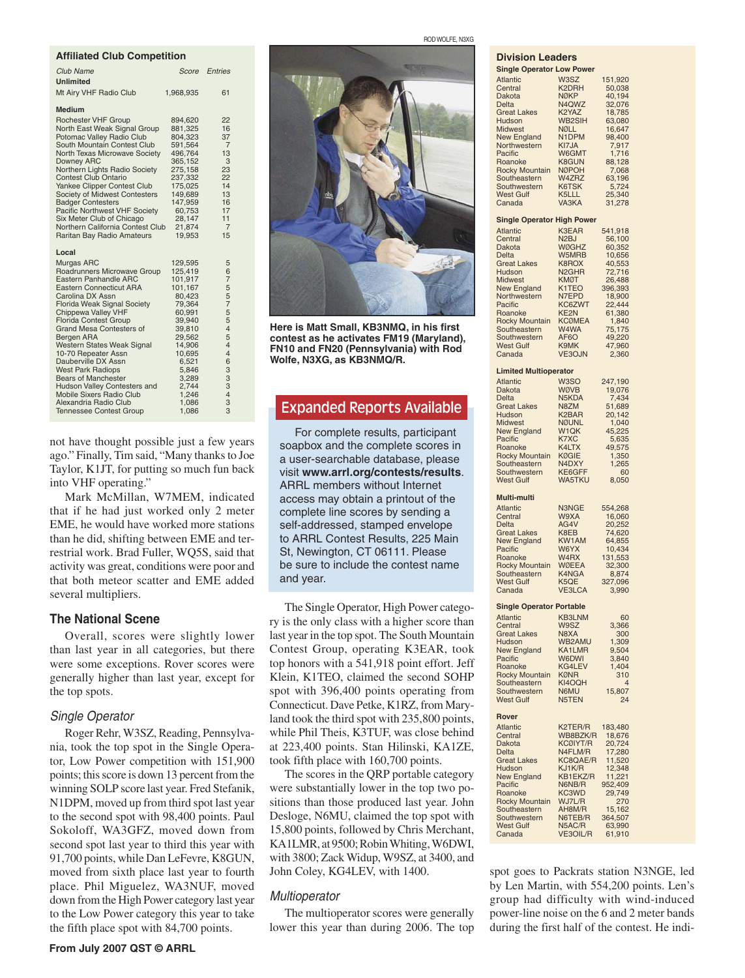#### **Affiliated Club Competition**

| minated olds competition                                                                                                                                                                                                                                                                                                                                                                                                                                                                                                            |                                                                                                                                                                                         |                                                                                                                                                          |
|-------------------------------------------------------------------------------------------------------------------------------------------------------------------------------------------------------------------------------------------------------------------------------------------------------------------------------------------------------------------------------------------------------------------------------------------------------------------------------------------------------------------------------------|-----------------------------------------------------------------------------------------------------------------------------------------------------------------------------------------|----------------------------------------------------------------------------------------------------------------------------------------------------------|
| Club Name<br><b>Unlimited</b>                                                                                                                                                                                                                                                                                                                                                                                                                                                                                                       |                                                                                                                                                                                         | <b>Score</b> Entries                                                                                                                                     |
| Mt Airy VHF Radio Club                                                                                                                                                                                                                                                                                                                                                                                                                                                                                                              | 1,968,935                                                                                                                                                                               | 61                                                                                                                                                       |
| <b>Medium</b><br>Rochester VHF Group<br>North East Weak Signal Group<br>Potomac Valley Radio Club<br>South Mountain Contest Club<br>North Texas Microwave Society<br>Downey ARC<br>Northern Lights Radio Society<br><b>Contest Club Ontario</b><br>Yankee Clipper Contest Club<br>Society of Midwest Contesters<br><b>Badger Contesters</b><br>Pacific Northwest VHF Society<br>Six Meter Club of Chicago<br>Northern California Contest Club                                                                                       | 894,620<br>881,325<br>804,323<br>591,564<br>496,764<br>365,152<br>275,158<br>237,332<br>175,025<br>149,689<br>147.959<br>60,753<br>28,147<br>21,874                                     | 22<br>16<br>37<br>$\overline{7}$<br>13<br>3<br>23<br>22<br>14<br>13<br>16<br>17<br>11<br>$\overline{7}$                                                  |
| Raritan Bay Radio Amateurs                                                                                                                                                                                                                                                                                                                                                                                                                                                                                                          | 19,953                                                                                                                                                                                  | 15                                                                                                                                                       |
| Local                                                                                                                                                                                                                                                                                                                                                                                                                                                                                                                               |                                                                                                                                                                                         |                                                                                                                                                          |
| Murgas ARC<br>Roadrunners Microwave Group<br>Eastern Panhandle ARC<br><b>Eastern Connecticut ARA</b><br>Carolina DX Assn<br><b>Florida Weak Signal Society</b><br>Chippewa Valley VHF<br><b>Florida Contest Group</b><br><b>Grand Mesa Contesters of</b><br>Bergen ARA<br>Western States Weak Signal<br>10-70 Repeater Assn<br>Dauberville DX Assn<br><b>West Park Radiops</b><br><b>Bears of Manchester</b><br>Hudson Valley Contesters and<br>Mobile Sixers Radio Club<br>Alexandria Radio Club<br><b>Tennessee Contest Group</b> | 129,595<br>125,419<br>101.917<br>101,167<br>80,423<br>79,364<br>60,991<br>39,940<br>39,810<br>29,562<br>14,906<br>10,695<br>6,521<br>5,846<br>3,289<br>2,744<br>1,246<br>1,086<br>1,086 | 5<br>6<br>7<br>5<br>5<br>$\overline{7}$<br>5<br>5<br>$\overline{4}$<br>5<br>4<br>$\overline{\mathbf{4}}$<br>6<br>3<br>3<br>3<br>$\overline{4}$<br>3<br>3 |

not have thought possible just a few years ago." Finally, Tim said, "Many thanks to Joe Taylor, K1JT, for putting so much fun back into VHF operating."

Mark McMillan, W7MEM, indicated that if he had just worked only 2 meter EME, he would have worked more stations than he did, shifting between EME and terrestrial work. Brad Fuller, WQ5S, said that activity was great, conditions were poor and that both meteor scatter and EME added several multipliers.

#### **The National Scene**

Overall, scores were slightly lower than last year in all categories, but there were some exceptions. Rover scores were generally higher than last year, except for the top spots.

#### Single Operator

Roger Rehr, W3SZ, Reading, Pennsylvania, took the top spot in the Single Operator, Low Power competition with 151,900 points; this score is down 13 percent from the winning SOLP score last year. Fred Stefanik, N1DPM, moved up from third spot last year to the second spot with 98,400 points. Paul Sokoloff, WA3GFZ, moved down from second spot last year to third this year with 91,700 points, while Dan LeFevre, K8GUN, moved from sixth place last year to fourth place. Phil Miguelez, WA3NUF, moved down from the High Power category last year to the Low Power category this year to take the fifth place spot with 84,700 points.

#### ROD WOLFE, N3XG



**Here is Matt Small, KB3NMQ, in his first contest as he activates FM19 (Maryland), FN10 and FN20 (Pennsylvania) with Rod Wolfe, N3XG, as KB3NMQ/R.**

## Expanded Reports Available

For complete results, participant soapbox and the complete scores in a user-searchable database, please visit **www.arrl.org/contests/results**. ARRL members without Internet access may obtain a printout of the complete line scores by sending a self-addressed, stamped envelope to ARRL Contest Results, 225 Main St, Newington, CT 06111. Please be sure to include the contest name and year.

The Single Operator, High Power category is the only class with a higher score than last year in the top spot. The South Mountain Contest Group, operating K3EAR, took top honors with a 541,918 point effort. Jeff Klein, K1TEO, claimed the second SOHP spot with 396,400 points operating from Connecticut. Dave Petke, K1RZ, from Maryland took the third spot with 235,800 points, while Phil Theis, K3TUF, was close behind at 223,400 points. Stan Hilinski, KA1ZE, took fifth place with 160,700 points.

The scores in the QRP portable category were substantially lower in the top two positions than those produced last year. John Desloge, N6MU, claimed the top spot with 15,800 points, followed by Chris Merchant, KA1LMR, at 9500; Robin Whiting, W6DWI, with 3800; Zack Widup, W9SZ, at 3400, and John Coley, KG4LEV, with 1400.

#### **Multioperator**

The multioperator scores were generally lower this year than during 2006. The top

#### **Division Leaders**

| <b>DIVISION Leagers</b>           |                            |                             |
|-----------------------------------|----------------------------|-----------------------------|
| <b>Single Operator Low Power</b>  |                            |                             |
| <b>Atlantic</b><br>Central        | W <sub>3</sub> SZ<br>K2DRH | 151,920<br>50,038           |
| Dakota                            | <b>NØKP</b>                | 40,194                      |
| Delta                             | N <sub>4</sub> QWZ         | 32,076                      |
| <b>Great Lakes</b>                | K2YAZ                      | 18,785                      |
| Hudson                            | WB2SIH                     | 63,080                      |
| Midwest                           | NØLL                       | 16,647                      |
| <b>New England</b>                | N1DPM                      | 98,400                      |
| Northwestern<br>Pacific           | KI7JA<br>W6GMT             | 7,917<br>1,716              |
| Roanoke                           | K8GUN                      | 88,128                      |
| <b>Rocky Mountain</b>             | <b>NØPOH</b>               | 7,068                       |
| Southeastern                      | W4ZRZ                      | 63,196                      |
| Southwestern                      | K6TSK                      | 5,724                       |
| <b>West Gulf</b>                  | K5LLL                      | 25,340                      |
| Canada                            | VA3KA                      | 31,278                      |
| <b>Single Operator High Power</b> |                            |                             |
| <b>Atlantic</b>                   | K3EAR                      |                             |
| Central                           | N <sub>2</sub> BJ          | 541,918<br>56,100<br>60,352 |
| Dakota                            | WØGHZ                      |                             |
| Delta                             | W5MRB                      | 10,656                      |
| <b>Great Lakes</b>                | K8ROX                      | 40,553                      |
| Hudson                            | N <sub>2</sub> GHR         | 72,716                      |
| Midwest                           | KMØT                       | 26,488                      |
| <b>New England</b>                | K1TEO                      | 396,393                     |
| Northwestern                      | N7EPD                      | 18,900                      |
| Pacific                           | KC6ZWT                     | 22,444                      |
| Roanoke                           | KE2N                       | 61,380                      |
| <b>Rocky Mountain</b>             | <b>KCØMEA</b>              | 1,840                       |
| Southeastern                      | W4WA                       | 75,175                      |
| Southwestern                      | AF6O                       | 49,220                      |
| <b>West Gulf</b>                  | K9MK                       | 47,960                      |
| Canada                            | <b>VE3OJN</b>              | 2,360                       |
| <b>Limited Multioperator</b>      |                            |                             |
|                                   | W <sub>3</sub> SO          |                             |
| <b>Atlantic</b>                   | <b>WØVB</b>                | 247,190<br>19,076           |
| Dakota<br>Delta                   |                            |                             |
| <b>Great Lakes</b>                | N5KDA<br>N8ZM              | 7,434<br>51,689             |
| <b>Hudson</b>                     | K <sub>2</sub> BAR         | 20,142                      |
| <b>Midwest</b>                    | <b>NØUNL</b>               | 1,040                       |
| <b>New England</b>                | W1QK                       | 45,225                      |
| Pacific                           | K7XC                       | 5,635                       |
| Roanoke                           | K4LTX                      | 49,575                      |
| Rocky Mountain                    | <b>KØGIE</b>               | 1,350                       |
| Southeastern                      | N4DXY                      | 1,265                       |
| Southwestern                      | KE6GFF                     | 60                          |
| West Gulf                         | WA5TKU                     | 8,050                       |
| Multi-multi                       |                            |                             |
| <b>Atlantic</b>                   | N3NGE                      |                             |
| Central                           | W9XA                       | 554,268<br>16,060           |
| Delta                             | AG4V                       | 20,252                      |
| <b>Great Lakes</b>                | K8EB                       | 74,620                      |
| <b>New England</b>                | KW1AM                      | 64,855                      |
| Pacific                           | W6YX                       | 10,434                      |
| Roanoke                           | W4RX                       |                             |
| <b>Rocky Mountain</b>             | <b>WØEEA</b>               | 131,553<br>32,300           |
| Southeastern                      | K4NGA                      | 8,874                       |
| <b>West Gulf</b>                  | K5QE                       | 327,096                     |
| Canada                            | <b>VE3LCA</b>              | 3,990                       |
| <b>Single Operator Portable</b>   |                            |                             |
| <b>Atlantic</b>                   | <b>KB3LNM</b>              | 60                          |
| Central                           | W99<br>ےد                  | 3,366                       |
| <b>Great Lakes</b>                | N8XA                       | 300                         |
| Hudson                            | WB2AMU                     | 1,309                       |
| <b>New England</b>                | KA1LMR                     | 9,504                       |
| Pacific                           | W6DWI                      | 3,840                       |
| Roanoke                           | KG4LEV                     | 1,404                       |
| Rocky Mountain                    | KØNR                       | 310                         |
| Southeastern                      | KI4OQH                     | 4                           |
| Southwestern                      | N6MU                       | 15,807                      |
| <b>West Gulf</b>                  | N5TEN                      | 24                          |
| Rover                             |                            |                             |
| <b>Atlantic</b>                   | K2TER/R                    | 183,480                     |
| Central                           | WB8BZK/R                   | 18,676                      |
| Dakota                            | <b>KCØIYT/R</b>            | 20,724                      |
| <b>Delta</b>                      | N4FLM/R                    | 17,280                      |
| <b>Great Lakes</b>                | KC8QAE/R                   | 11,520                      |
| Hudson                            | KJ1K/R                     | 12,348                      |
| <b>New England</b>                | KB1EKZ/R                   | 11,221                      |
| Pacific                           | N6NB/R                     | 952,409                     |
| Roanoke                           | KC3WD                      | 29,749                      |
| Rocky Mountain                    | WJ7L/R                     | 270                         |
| Southeastern                      | AH8M/R                     | 15,162                      |
| Southwestern                      | N6TEB/R                    | 364,507                     |
| West Gulf                         | N5AC/R                     | 63,990                      |
| Canada                            | VE3OIL/R                   | 61,910                      |

spot goes to Packrats station N3NGE, led by Len Martin, with 554,200 points. Len's group had difficulty with wind-induced power-line noise on the 6 and 2 meter bands during the first half of the contest. He indi-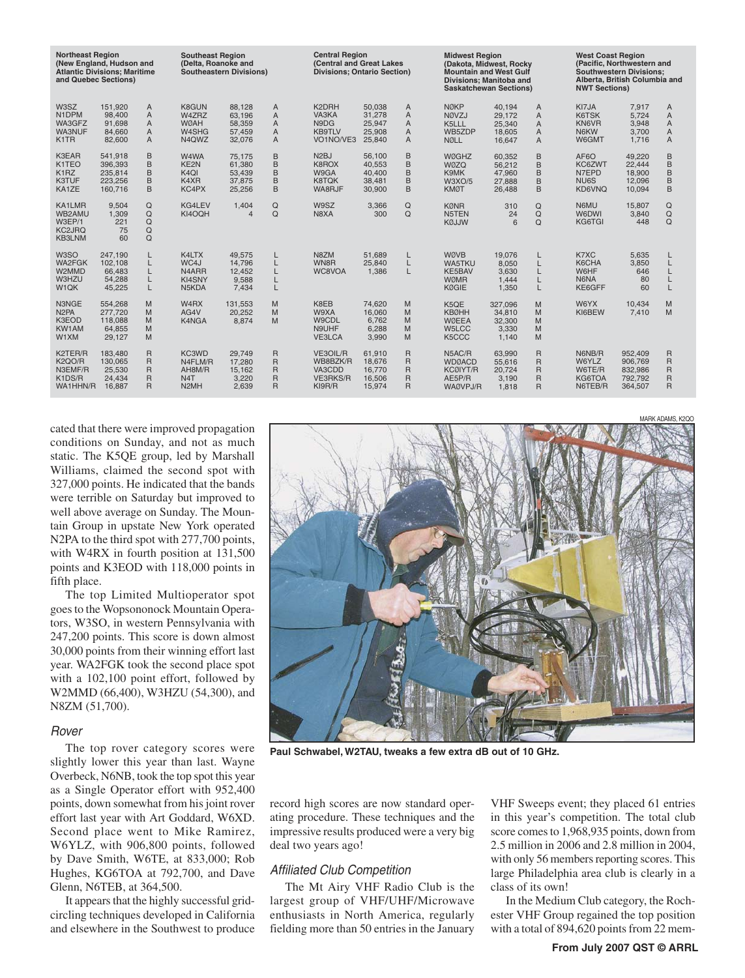| <b>Northeast Region</b><br>(New England, Hudson and<br><b>Atlantic Divisions; Maritime</b><br>and Quebec Sections) |                                                     | <b>Southeast Region</b><br>(Delta, Roanoke and<br><b>Southeastern Divisions)</b> |                                                                     | <b>Central Region</b><br>(Central and Great Lakes<br>Divisions; Ontario Section) |                                                                              | <b>Midwest Region</b><br>(Dakota, Midwest, Rocky<br><b>Mountain and West Gulf</b><br>Divisions; Manitoba and<br><b>Saskatchewan Sections)</b> |                                                |                                                                              | <b>West Coast Region</b><br>(Pacific, Northwestern and<br><b>Southwestern Divisions:</b><br>Alberta, British Columbia and<br><b>NWT Sections)</b> |                                                |                                                                           |                                                |                                                     |                                                                               |
|--------------------------------------------------------------------------------------------------------------------|-----------------------------------------------------|----------------------------------------------------------------------------------|---------------------------------------------------------------------|----------------------------------------------------------------------------------|------------------------------------------------------------------------------|-----------------------------------------------------------------------------------------------------------------------------------------------|------------------------------------------------|------------------------------------------------------------------------------|---------------------------------------------------------------------------------------------------------------------------------------------------|------------------------------------------------|---------------------------------------------------------------------------|------------------------------------------------|-----------------------------------------------------|-------------------------------------------------------------------------------|
| W <sub>3</sub> SZ<br>N1DPM<br>WA3GFZ<br>WA3NUF<br>K <sub>1</sub> TR                                                | 151.920<br>98.400<br>91,698<br>84.660<br>82,600     | $\overline{A}$<br>$\overline{A}$<br>A<br>$\overline{A}$<br>A                     | <b>K8GUN</b><br>W4ZRZ<br><b>WØAH</b><br>W4SHG<br>N4QWZ              | 88.128<br>63.196<br>58.359<br>57.459<br>32,076                                   | A<br>$\overline{A}$<br>$\overline{A}$<br>$\overline{A}$<br>$\overline{A}$    | K2DRH<br>VA3KA<br>N9DG<br><b>KB9TLV</b><br>VO1NO/VE3                                                                                          | 50,038<br>31.278<br>25,947<br>25,908<br>25.840 | $\overline{A}$<br>$\overline{A}$<br>$\overline{A}$<br>A<br>A                 | <b>NØKP</b><br><b>NØVZJ</b><br>K5LLL<br>WB5ZDP<br><b>NØLL</b>                                                                                     | 40.194<br>29,172<br>25,340<br>18,605<br>16.647 | $\overline{A}$<br>$\overline{A}$<br>$\overline{A}$<br>A<br>$\overline{A}$ | KI7JA<br>K6TSK<br>KN6VR<br>N6KW<br>W6GMT       | 7,917<br>5.724<br>3,948<br>3,700<br>1.716           | Α<br>$\overline{A}$<br>$\mathsf{A}$<br>A<br>A                                 |
| K3EAR<br>K1TEO<br>K <sub>1</sub> RZ<br>K3TUF<br>KA1ZE                                                              | 541,918<br>396.393<br>235,814<br>223.256<br>160,716 | B.<br>B<br>B<br>B<br>B                                                           | W4WA<br>KE2N<br>K <sub>4</sub> QI<br>K4XR<br>KC4PX                  | 75.175<br>61.380<br>53.439<br>37.875<br>25,256                                   | B<br>B<br>B<br>B<br>B                                                        | N <sub>2</sub> BJ<br>K8ROX<br>W9GA<br>K8TQK<br>WA8RJF                                                                                         | 56.100<br>40.553<br>40,400<br>38.481<br>30,900 | B<br>B<br>B<br>B<br>B                                                        | <b>WØGHZ</b><br><b>WØZQ</b><br>K9MK<br><b>W3XO/5</b><br><b>KMØT</b>                                                                               | 60,352<br>56.212<br>47,960<br>27.888<br>26.488 | B<br>B<br>B<br>B<br>B                                                     | AF6O<br>KC6ZWT<br>N7EPD<br>NU6S<br>KD6VNQ      | 49,220<br>22.444<br>18,900<br>12.096<br>10,094      | B<br>B<br>B<br>B<br>B                                                         |
| KA1LMR<br>WB2AMU<br>W3EP/1<br>KC2JRQ<br>KB3LNM                                                                     | 9.504<br>1.309<br>221<br>75<br>60                   | Q<br>Q<br>$\Omega$<br>Q<br>$\Omega$                                              | KG4LEV<br>KI4OQH                                                    | 1.404<br>$\overline{4}$                                                          | $\mathsf Q$<br>$\Omega$                                                      | W9SZ<br>N8XA                                                                                                                                  | 3,366<br>300                                   | Q<br>Q                                                                       | <b>KØNR</b><br>N5TEN<br><b>KØJJW</b>                                                                                                              | 310<br>24<br>6                                 | Q<br>$\Omega$<br>Q                                                        | N6MU<br><b>WGDWI</b><br>KG6TGI                 | 15.807<br>3.840<br>448                              | $\mathsf Q$<br>$\mathsf Q$<br>$\Omega$                                        |
| W <sub>3</sub> SO<br>WA2FGK<br>W2MMD<br><b>W3HZU</b><br>W1QK                                                       | 247.190<br>102.108<br>66,483<br>54,288<br>45,225    | L<br>L<br>L<br>L<br>L                                                            | K4LTX<br>WC4J<br>N4ARR<br>KI4SNY<br>N5KDA                           | 49.575<br>14.796<br>12.452<br>9.588<br>7,434                                     | L<br>L<br>L<br>L<br>L                                                        | N8ZM<br>WN8R<br>WC8VOA                                                                                                                        | 51.689<br>25,840<br>1.386                      | L<br>L<br>L                                                                  | <b>WØVB</b><br>WA5TKU<br>KE5BAV<br><b>WØMR</b><br><b>KØGIE</b>                                                                                    | 19.076<br>8.050<br>3.630<br>1.444<br>1.350     | L<br>L<br>L<br>L<br>L                                                     | K7XC<br><b>K6CHA</b><br>W6HF<br>N6NA<br>KE6GFF | 5,635<br>3,850<br>646<br>80<br>60                   | L                                                                             |
| N3NGE<br>N <sub>2</sub> PA<br>K3EOD<br>KW1AM<br>W1XM                                                               | 554.268<br>277,720<br>118,088<br>64,855<br>29,127   | M<br>M<br>M<br>M<br>M                                                            | W4RX<br>AG4V<br>K4NGA                                               | 131.553<br>20.252<br>8.874                                                       | M<br>M<br>M                                                                  | K8EB<br>W9XA<br>W9CDL<br>N9UHF<br><b>VE3LCA</b>                                                                                               | 74.620<br>16.060<br>6.762<br>6,288<br>3,990    | M<br>M<br>M<br>M<br>M                                                        | K5QE<br><b>KBØHH</b><br><b>WØEEA</b><br>W5LCC<br>K5CCC                                                                                            | 327.096<br>34,810<br>32.300<br>3,330<br>1,140  | M<br>M<br>M<br>M<br>M                                                     | W6YX<br>KI6BEW                                 | 10.434<br>7.410                                     | M<br>M                                                                        |
| K2TER/R<br>K2QO/R<br>N3EMF/R<br>K1DS/R<br>WA1HHN/R                                                                 | 183,480<br>130.065<br>25,530<br>24,434<br>16,887    | R.<br>$\mathsf{R}$<br>R.<br>$\mathsf{R}$<br>R                                    | KC3WD<br>N4FLM/R<br>AH8M/R<br>N <sub>4</sub> T<br>N <sub>2</sub> MH | 29.749<br>17.280<br>15.162<br>3,220<br>2,639                                     | $\mathsf{R}$<br>$\mathsf{R}$<br>$\mathsf{R}$<br>$\mathsf{R}$<br>$\mathsf{R}$ | VE3OIL/R<br>WB8BZK/R<br>VA3CDD<br>VE3RKS/R<br>KI9R/R                                                                                          | 61.910<br>18.676<br>16.770<br>16,506<br>15,974 | $\mathsf{R}$<br>$\mathsf{R}$<br>$\mathsf{R}$<br>$\mathsf{R}$<br>$\mathsf{R}$ | N5AC/R<br><b>WDØACD</b><br>KCØIYT/R<br>AE5P/R<br>WAØVPJ/R                                                                                         | 63,990<br>55,616<br>20.724<br>3,190<br>1,818   | $\mathsf{R}$<br>$\mathsf{R}$<br>R<br>R<br>R                               | N6NB/R<br>W6YLZ<br>W6TE/R<br>KG6TOA<br>N6TEB/R | 952,409<br>906,769<br>832,986<br>792,792<br>364,507 | $\mathsf R$<br>$\mathsf{R}$<br>$\mathsf{R}$<br>$\mathsf{R}$<br>$\overline{R}$ |

cated that there were improved propagation conditions on Sunday, and not as much static. The K5QE group, led by Marshall Williams, claimed the second spot with 327,000 points. He indicated that the bands were terrible on Saturday but improved to well above average on Sunday. The Mountain Group in upstate New York operated N<sub>2</sub>PA to the third spot with 277,700 points, with W4RX in fourth position at 131,500 points and K3EOD with 118,000 points in fifth place.

The top Limited Multioperator spot goes to the Wopsononock Mountain Operators, W3SO, in western Pennsylvania with 247,200 points. This score is down almost 30,000 points from their winning effort last year. WA2FGK took the second place spot with a 102,100 point effort, followed by W2MMD (66,400), W3HZU (54,300), and N8ZM (51,700).

#### Rover

The top rover category scores were slightly lower this year than last. Wayne Overbeck, N6NB, took the top spot this year as a Single Operator effort with 952,400 points, down somewhat from his joint rover effort last year with Art Goddard, W6XD. Second place went to Mike Ramirez, W6YLZ, with 906,800 points, followed by Dave Smith, W6TE, at 833,000; Rob Hughes, KG6TOA at 792,700, and Dave Glenn, N6TEB, at 364,500.

It appears that the highly successful gridcircling techniques developed in California and elsewhere in the Southwest to produce



**Paul Schwabel, W2TAU, tweaks a few extra dB out of 10 GHz.**

record high scores are now standard operating procedure. These techniques and the impressive results produced were a very big deal two years ago!

#### Affiliated Club Competition

The Mt Airy VHF Radio Club is the largest group of VHF/UHF/Microwave enthusiasts in North America, regularly fielding more than 50 entries in the January

VHF Sweeps event; they placed 61 entries in this year's competition. The total club score comes to 1,968,935 points, down from 2.5 million in 2006 and 2.8 million in 2004, with only 56 members reporting scores. This large Philadelphia area club is clearly in a class of its own!

In the Medium Club category, the Rochester VHF Group regained the top position with a total of 894,620 points from 22 mem-